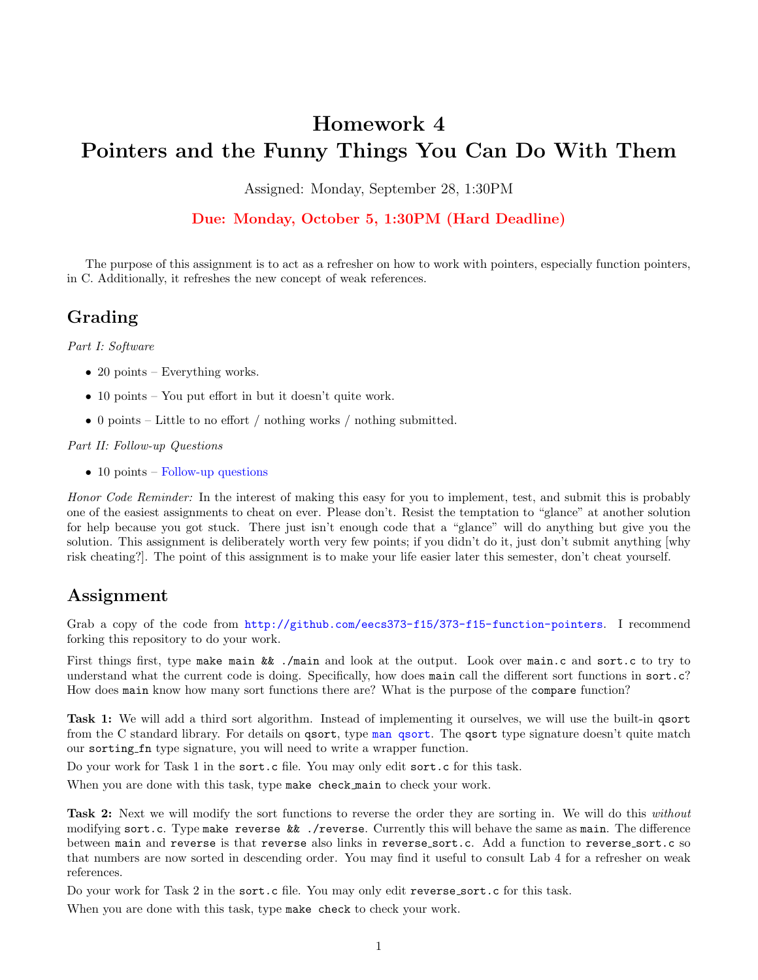# Homework 4 Pointers and the Funny Things You Can Do With Them

Assigned: Monday, September 28, 1:30PM

### Due: Monday, October 5, 1:30PM (Hard Deadline)

The purpose of this assignment is to act as a refresher on how to work with pointers, especially function pointers, in C. Additionally, it refreshes the new concept of weak references.

## Grading

*Part I: Software*

- 20 points Everything works.
- 10 points You put effort in but it doesn't quite work.
- 0 points Little to no effort / nothing works / nothing submitted.

#### *Part II: Follow-up Questions*

• 10 points – [Follow-up questions](http://web.eecs.umich.edu/~prabal/teaching/eecs373/homeworks/373-F15-HW4-followup.pdf)

*Honor Code Reminder:* In the interest of making this easy for you to implement, test, and submit this is probably one of the easiest assignments to cheat on ever. Please don't. Resist the temptation to "glance" at another solution for help because you got stuck. There just isn't enough code that a "glance" will do anything but give you the solution. This assignment is deliberately worth very few points; if you didn't do it, just don't submit anything [why risk cheating?]. The point of this assignment is to make your life easier later this semester, don't cheat yourself.

### Assignment

Grab a copy of the code from <http://github.com/eecs373-f15/373-f15-function-pointers>. I recommend forking this repository to do your work.

First things first, type make main && ./main and look at the output. Look over main.c and sort.c to try to understand what the current code is doing. Specifically, how does main call the different sort functions in sort.c? How does main know how many sort functions there are? What is the purpose of the compare function?

Task 1: We will add a third sort algorithm. Instead of implementing it ourselves, we will use the built-in qsort from the C standard library. For details on qsort, type [man qsort](http://linux.die.net/man/3/qsort). The qsort type signature doesn't quite match our sorting fn type signature, you will need to write a wrapper function.

Do your work for Task 1 in the sort.c file. You may only edit sort.c for this task.

When you are done with this task, type make check main to check your work.

Task 2: Next we will modify the sort functions to reverse the order they are sorting in. We will do this *without* modifying sort.c. Type make reverse  $\&\mathbf{k}$  ./reverse. Currently this will behave the same as main. The difference between main and reverse is that reverse also links in reverse sort.c. Add a function to reverse sort.c so that numbers are now sorted in descending order. You may find it useful to consult Lab 4 for a refresher on weak references.

Do your work for Task 2 in the sort.c file. You may only edit reverse sort.c for this task.

When you are done with this task, type make check to check your work.